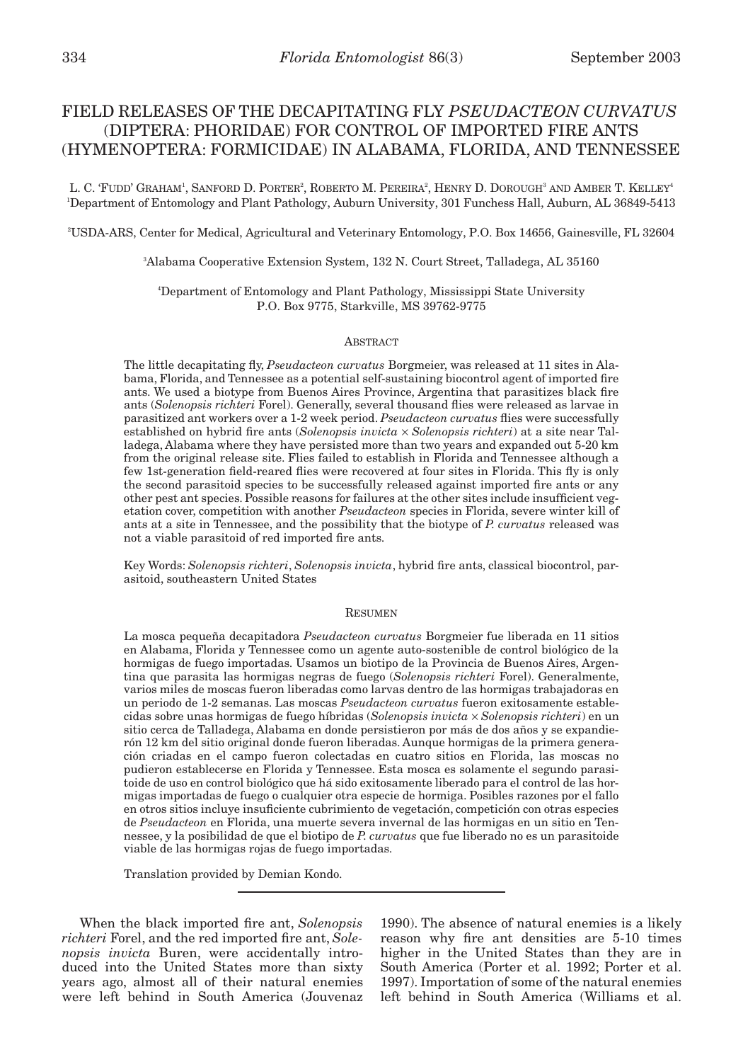# FIELD RELEASES OF THE DECAPITATING FLY *PSEUDACTEON CURVATUS* (DIPTERA: PHORIDAE) FOR CONTROL OF IMPORTED FIRE ANTS (HYMENOPTERA: FORMICIDAE) IN ALABAMA, FLORIDA, AND TENNESSEE

L. C. 'FUDD' GRAHAM<sup>1</sup>, SANFORD D. PORTER<sup>2</sup>, ROBERTO M. PEREIRA<sup>2</sup>, HENRY D. DOROUGH<sup>3</sup> AND AMBER T. KELLEY<sup>4</sup> 1 Department of Entomology and Plant Pathology, Auburn University, 301 Funchess Hall, Auburn, AL 36849-5413

2 USDA-ARS, Center for Medical, Agricultural and Veterinary Entomology, P.O. Box 14656, Gainesville, FL 32604

3 Alabama Cooperative Extension System, 132 N. Court Street, Talladega, AL 35160

4 Department of Entomology and Plant Pathology, Mississippi State University P.O. Box 9775, Starkville, MS 39762-9775

#### **ABSTRACT**

The little decapitating fly, *Pseudacteon curvatus* Borgmeier, was released at 11 sites in Alabama, Florida, and Tennessee as a potential self-sustaining biocontrol agent of imported fire ants. We used a biotype from Buenos Aires Province, Argentina that parasitizes black fire ants (*Solenopsis richteri* Forel). Generally, several thousand flies were released as larvae in parasitized ant workers over a 1-2 week period. *Pseudacteon curvatus* flies were successfully established on hybrid fire ants (*Solenopsis invicta* × *Solenopsis richteri*) at a site near Talladega, Alabama where they have persisted more than two years and expanded out 5-20 km from the original release site. Flies failed to establish in Florida and Tennessee although a few 1st-generation field-reared flies were recovered at four sites in Florida. This fly is only the second parasitoid species to be successfully released against imported fire ants or any other pest ant species. Possible reasons for failures at the other sites include insufficient vegetation cover, competition with another *Pseudacteon* species in Florida, severe winter kill of ants at a site in Tennessee, and the possibility that the biotype of *P. curvatus* released was not a viable parasitoid of red imported fire ants.

Key Words: *Solenopsis richteri*, *Solenopsis invicta*, hybrid fire ants, classical biocontrol, parasitoid, southeastern United States

#### RESUMEN

La mosca pequeña decapitadora *Pseudacteon curvatus* Borgmeier fue liberada en 11 sitios en Alabama, Florida y Tennessee como un agente auto-sostenible de control biológico de la hormigas de fuego importadas. Usamos un biotipo de la Provincia de Buenos Aires, Argentina que parasita las hormigas negras de fuego (*Solenopsis richteri* Forel). Generalmente, varios miles de moscas fueron liberadas como larvas dentro de las hormigas trabajadoras en un periodo de 1-2 semanas. Las moscas *Pseudacteon curvatus* fueron exitosamente establecidas sobre unas hormigas de fuego híbridas (*Solenopsis invicta* × *Solenopsis richteri*) en un sitio cerca de Talladega, Alabama en donde persistieron por más de dos años y se expandierón 12 km del sitio original donde fueron liberadas. Aunque hormigas de la primera generación criadas en el campo fueron colectadas en cuatro sitios en Florida, las moscas no pudieron establecerse en Florida y Tennessee. Esta mosca es solamente el segundo parasitoide de uso en control biológico que há sido exitosamente liberado para el control de las hormigas importadas de fuego o cualquier otra especie de hormiga. Posibles razones por el fallo en otros sitios incluye insuficiente cubrimiento de vegetación, competición con otras especies de *Pseudacteon* en Florida, una muerte severa invernal de las hormigas en un sitio en Tennessee, y la posibilidad de que el biotipo de *P. curvatus* que fue liberado no es un parasitoide viable de las hormigas rojas de fuego importadas.

Translation provided by Demian Kondo.

When the black imported fire ant, *Solenopsis richteri* Forel, and the red imported fire ant, *Solenopsis invicta* Buren, were accidentally introduced into the United States more than sixty years ago, almost all of their natural enemies were left behind in South America (Jouvenaz

1990). The absence of natural enemies is a likely reason why fire ant densities are 5-10 times higher in the United States than they are in South America (Porter et al. 1992; Porter et al. 1997). Importation of some of the natural enemies left behind in South America (Williams et al.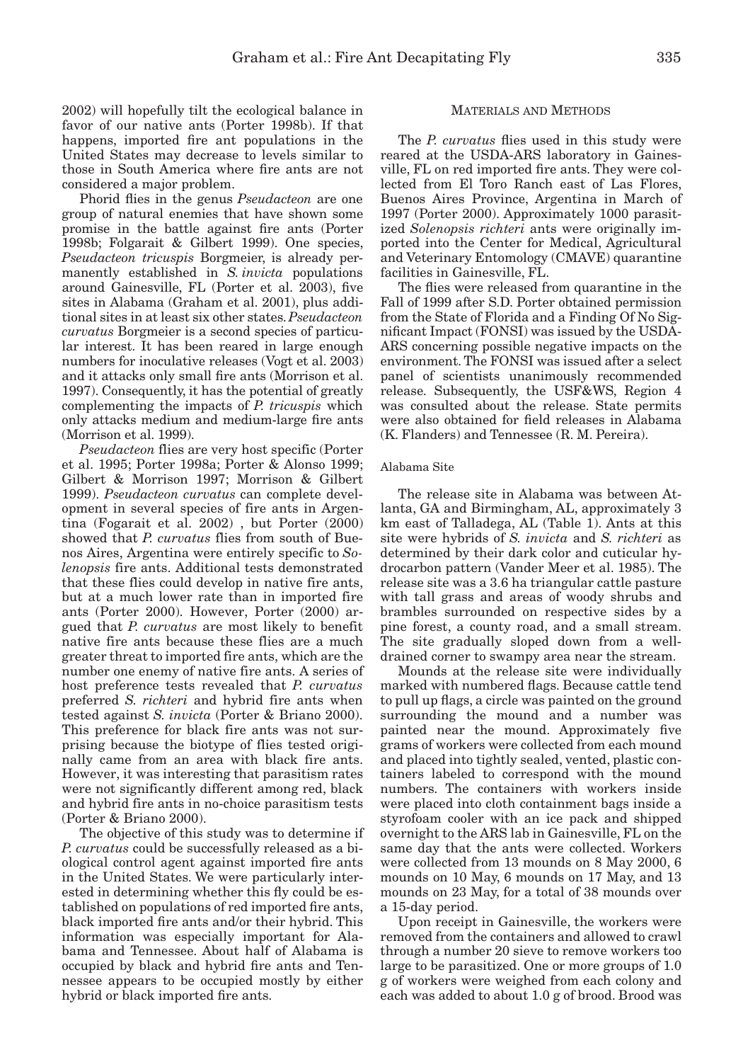2002) will hopefully tilt the ecological balance in favor of our native ants (Porter 1998b). If that happens, imported fire ant populations in the United States may decrease to levels similar to those in South America where fire ants are not considered a major problem.

Phorid flies in the genus *Pseudacteon* are one group of natural enemies that have shown some promise in the battle against fire ants (Porter 1998b; Folgarait & Gilbert 1999). One species, *Pseudacteon tricuspis* Borgmeier, is already permanently established in *S. invicta* populations around Gainesville, FL (Porter et al. 2003), five sites in Alabama (Graham et al. 2001), plus additional sites in at least six other states. *Pseudacteon curvatus* Borgmeier is a second species of particular interest. It has been reared in large enough numbers for inoculative releases (Vogt et al. 2003) and it attacks only small fire ants (Morrison et al. 1997). Consequently, it has the potential of greatly complementing the impacts of *P. tricuspis* which only attacks medium and medium-large fire ants (Morrison et al. 1999).

*Pseudacteon* flies are very host specific (Porter et al. 1995; Porter 1998a; Porter & Alonso 1999; Gilbert & Morrison 1997; Morrison & Gilbert 1999). *Pseudacteon curvatus* can complete development in several species of fire ants in Argentina (Fogarait et al. 2002) , but Porter (2000) showed that *P. curvatus* flies from south of Buenos Aires, Argentina were entirely specific to *Solenopsis* fire ants. Additional tests demonstrated that these flies could develop in native fire ants, but at a much lower rate than in imported fire ants (Porter 2000). However, Porter (2000) argued that *P. curvatus* are most likely to benefit native fire ants because these flies are a much greater threat to imported fire ants, which are the number one enemy of native fire ants. A series of host preference tests revealed that *P. curvatus* preferred *S. richteri* and hybrid fire ants when tested against *S. invicta* (Porter & Briano 2000). This preference for black fire ants was not surprising because the biotype of flies tested originally came from an area with black fire ants. However, it was interesting that parasitism rates were not significantly different among red, black and hybrid fire ants in no-choice parasitism tests (Porter & Briano 2000).

The objective of this study was to determine if *P. curvatus* could be successfully released as a biological control agent against imported fire ants in the United States. We were particularly interested in determining whether this fly could be established on populations of red imported fire ants, black imported fire ants and/or their hybrid. This information was especially important for Alabama and Tennessee. About half of Alabama is occupied by black and hybrid fire ants and Tennessee appears to be occupied mostly by either hybrid or black imported fire ants.

# MATERIALS AND METHODS

The *P. curvatus* flies used in this study were reared at the USDA-ARS laboratory in Gainesville, FL on red imported fire ants. They were collected from El Toro Ranch east of Las Flores, Buenos Aires Province, Argentina in March of 1997 (Porter 2000). Approximately 1000 parasitized *Solenopsis richteri* ants were originally imported into the Center for Medical, Agricultural and Veterinary Entomology (CMAVE) quarantine facilities in Gainesville, FL.

The flies were released from quarantine in the Fall of 1999 after S.D. Porter obtained permission from the State of Florida and a Finding Of No Significant Impact (FONSI) was issued by the USDA-ARS concerning possible negative impacts on the environment. The FONSI was issued after a select panel of scientists unanimously recommended release. Subsequently, the USF&WS, Region 4 was consulted about the release. State permits were also obtained for field releases in Alabama (K. Flanders) and Tennessee (R. M. Pereira).

## Alabama Site

The release site in Alabama was between Atlanta, GA and Birmingham, AL, approximately 3 km east of Talladega, AL (Table 1). Ants at this site were hybrids of *S. invicta* and *S. richteri* as determined by their dark color and cuticular hydrocarbon pattern (Vander Meer et al. 1985). The release site was a 3.6 ha triangular cattle pasture with tall grass and areas of woody shrubs and brambles surrounded on respective sides by a pine forest, a county road, and a small stream. The site gradually sloped down from a welldrained corner to swampy area near the stream.

Mounds at the release site were individually marked with numbered flags. Because cattle tend to pull up flags, a circle was painted on the ground surrounding the mound and a number was painted near the mound. Approximately five grams of workers were collected from each mound and placed into tightly sealed, vented, plastic containers labeled to correspond with the mound numbers. The containers with workers inside were placed into cloth containment bags inside a styrofoam cooler with an ice pack and shipped overnight to the ARS lab in Gainesville, FL on the same day that the ants were collected. Workers were collected from 13 mounds on 8 May 2000, 6 mounds on 10 May, 6 mounds on 17 May, and 13 mounds on 23 May, for a total of 38 mounds over a 15-day period.

Upon receipt in Gainesville, the workers were removed from the containers and allowed to crawl through a number 20 sieve to remove workers too large to be parasitized. One or more groups of 1.0 g of workers were weighed from each colony and each was added to about 1.0 g of brood. Brood was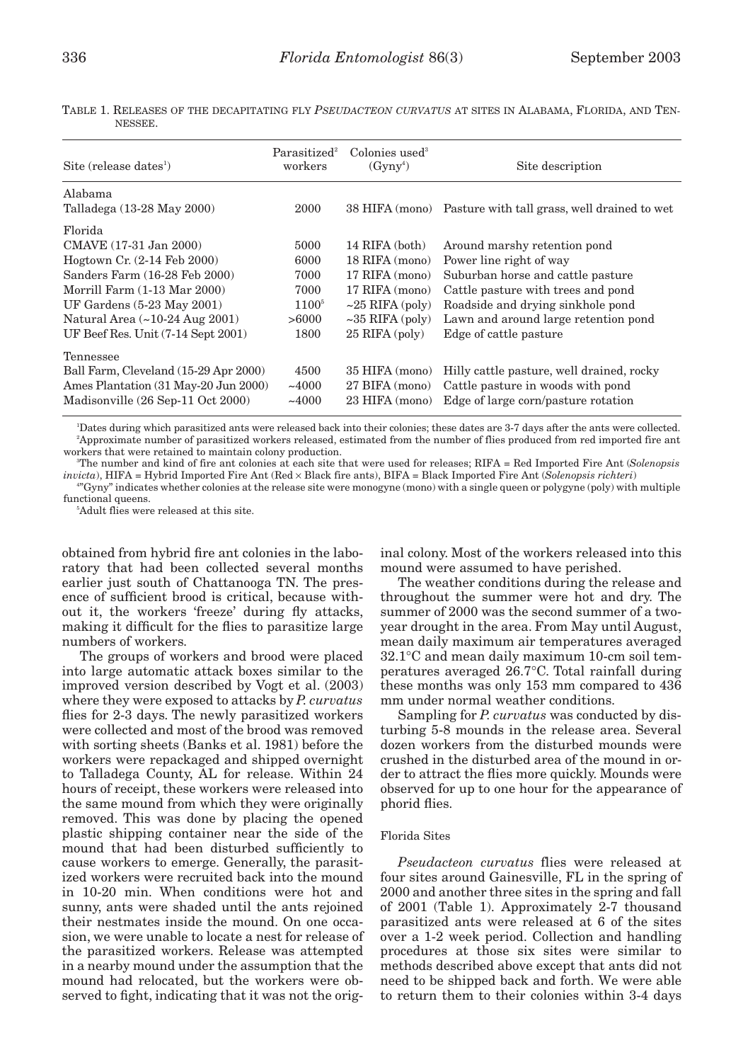TABLE 1. RELEASES OF THE DECAPITATING FLY *PSEUDACTEON CURVATUS* AT SITES IN ALABAMA, FLORIDA, AND TEN-NESSEE.

| Site (release dates <sup>1</sup> )                                                                                                                                                                                                                             | Parasitized <sup>2</sup><br>workers                       | Colonies used <sup>3</sup><br>$(Gvnv^4)$                                                                                                 | Site description                                                                                                                                                                                                                          |
|----------------------------------------------------------------------------------------------------------------------------------------------------------------------------------------------------------------------------------------------------------------|-----------------------------------------------------------|------------------------------------------------------------------------------------------------------------------------------------------|-------------------------------------------------------------------------------------------------------------------------------------------------------------------------------------------------------------------------------------------|
| Alabama<br>Talladega (13-28 May 2000)                                                                                                                                                                                                                          | 2000                                                      |                                                                                                                                          | 38 HIFA (mono) Pasture with tall grass, well drained to wet                                                                                                                                                                               |
| Florida<br>CMAVE (17-31 Jan 2000)<br>Hogtown Cr. (2-14 Feb 2000)<br>Sanders Farm (16-28 Feb 2000)<br>Morrill Farm $(1-13$ Mar $2000)$<br>UF Gardens $(5-23$ May $2001)$<br>Natural Area $(\sim 10-24 \text{ Aug } 2001)$<br>UF Beef Res. Unit (7-14 Sept 2001) | 5000<br>6000<br>7000<br>7000<br>$1100^5$<br>>6000<br>1800 | 14 RIFA (both)<br>18 RIFA (mono)<br>17 RIFA (mono)<br>17 RIFA (mono)<br>$\sim$ 25 RIFA (poly)<br>$\sim$ 35 RIFA (poly)<br>25 RIFA (poly) | Around marshy retention pond<br>Power line right of way<br>Suburban horse and cattle pasture<br>Cattle pasture with trees and pond<br>Roadside and drying sinkhole pond<br>Lawn and around large retention pond<br>Edge of cattle pasture |
| Tennessee<br>Ball Farm, Cleveland (15-29 Apr 2000)<br>Ames Plantation (31 May-20 Jun 2000)<br>Madisonville (26 Sep-11 Oct 2000)                                                                                                                                | 4500<br>~1000<br>~1000                                    | 35 HIFA (mono)<br>27 BIFA (mono)<br>23 HIFA (mono)                                                                                       | Hilly cattle pasture, well drained, rocky<br>Cattle pasture in woods with pond<br>Edge of large corn/pasture rotation                                                                                                                     |

1 Dates during which parasitized ants were released back into their colonies; these dates are 3-7 days after the ants were collected. 2 Approximate number of parasitized workers released, estimated from the number of flies produced from red imported fire ant workers that were retained to maintain colony production.

3 The number and kind of fire ant colonies at each site that were used for releases; RIFA = Red Imported Fire Ant (*Solenopsis invicta*), HIFA = Hybrid Imported Fire Ant (Red × Black fire ants), BIFA = Black Imported Fire Ant (*Solenopsis richteri*)

4 "Gyny" indicates whether colonies at the release site were monogyne (mono) with a single queen or polygyne (poly) with multiple functional queens.

5 Adult flies were released at this site.

obtained from hybrid fire ant colonies in the laboratory that had been collected several months earlier just south of Chattanooga TN. The presence of sufficient brood is critical, because without it, the workers 'freeze' during fly attacks, making it difficult for the flies to parasitize large numbers of workers.

The groups of workers and brood were placed into large automatic attack boxes similar to the improved version described by Vogt et al. (2003) where they were exposed to attacks by *P. curvatus* flies for 2-3 days. The newly parasitized workers were collected and most of the brood was removed with sorting sheets (Banks et al. 1981) before the workers were repackaged and shipped overnight to Talladega County, AL for release. Within 24 hours of receipt, these workers were released into the same mound from which they were originally removed. This was done by placing the opened plastic shipping container near the side of the mound that had been disturbed sufficiently to cause workers to emerge. Generally, the parasitized workers were recruited back into the mound in 10-20 min. When conditions were hot and sunny, ants were shaded until the ants rejoined their nestmates inside the mound. On one occasion, we were unable to locate a nest for release of the parasitized workers. Release was attempted in a nearby mound under the assumption that the mound had relocated, but the workers were observed to fight, indicating that it was not the original colony. Most of the workers released into this mound were assumed to have perished.

The weather conditions during the release and throughout the summer were hot and dry. The summer of 2000 was the second summer of a twoyear drought in the area. From May until August, mean daily maximum air temperatures averaged 32.1°C and mean daily maximum 10-cm soil temperatures averaged 26.7°C. Total rainfall during these months was only 153 mm compared to 436 mm under normal weather conditions.

Sampling for *P. curvatus* was conducted by disturbing 5-8 mounds in the release area. Several dozen workers from the disturbed mounds were crushed in the disturbed area of the mound in order to attract the flies more quickly. Mounds were observed for up to one hour for the appearance of phorid flies.

## Florida Sites

*Pseudacteon curvatus* flies were released at four sites around Gainesville, FL in the spring of 2000 and another three sites in the spring and fall of 2001 (Table 1). Approximately 2-7 thousand parasitized ants were released at 6 of the sites over a 1-2 week period. Collection and handling procedures at those six sites were similar to methods described above except that ants did not need to be shipped back and forth. We were able to return them to their colonies within 3-4 days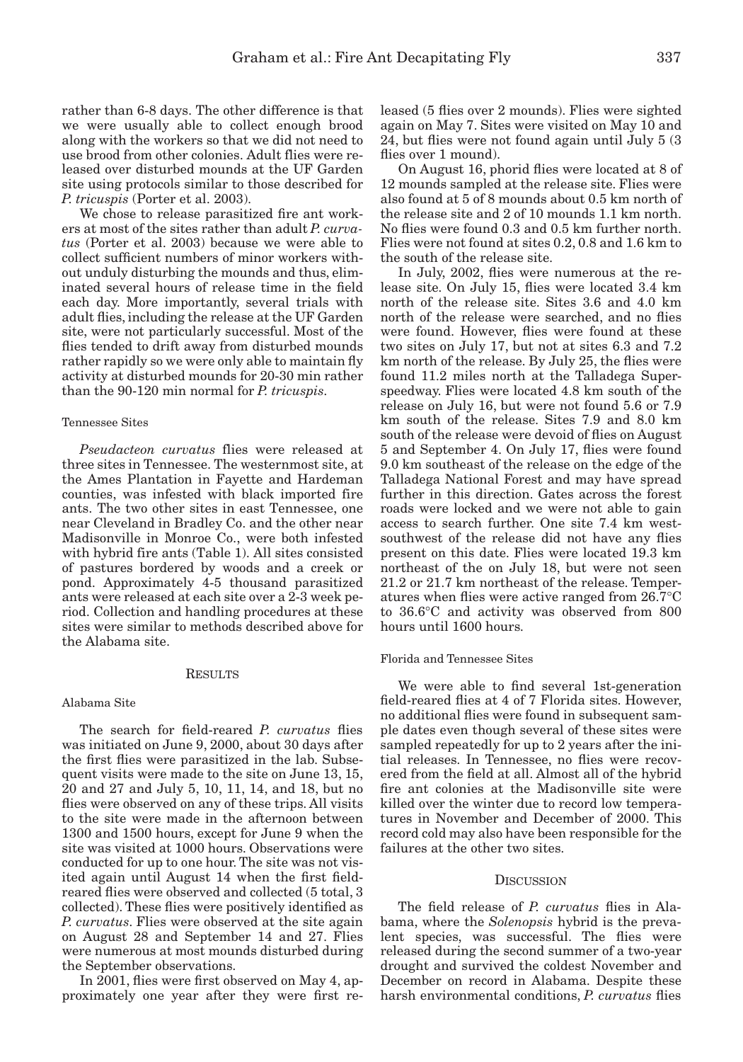rather than 6-8 days. The other difference is that we were usually able to collect enough brood along with the workers so that we did not need to use brood from other colonies. Adult flies were released over disturbed mounds at the UF Garden site using protocols similar to those described for *P. tricuspis* (Porter et al. 2003).

We chose to release parasitized fire ant workers at most of the sites rather than adult *P. curvatus* (Porter et al. 2003) because we were able to collect sufficient numbers of minor workers without unduly disturbing the mounds and thus, eliminated several hours of release time in the field each day. More importantly, several trials with adult flies, including the release at the UF Garden site, were not particularly successful. Most of the flies tended to drift away from disturbed mounds rather rapidly so we were only able to maintain fly activity at disturbed mounds for 20-30 min rather than the 90-120 min normal for *P. tricuspis*.

# Tennessee Sites

*Pseudacteon curvatus* flies were released at three sites in Tennessee. The westernmost site, at the Ames Plantation in Fayette and Hardeman counties, was infested with black imported fire ants. The two other sites in east Tennessee, one near Cleveland in Bradley Co. and the other near Madisonville in Monroe Co., were both infested with hybrid fire ants (Table 1). All sites consisted of pastures bordered by woods and a creek or pond. Approximately 4-5 thousand parasitized ants were released at each site over a 2-3 week period. Collection and handling procedures at these sites were similar to methods described above for the Alabama site.

#### **RESULTS**

# Alabama Site

The search for field-reared *P. curvatus* flies was initiated on June 9, 2000, about 30 days after the first flies were parasitized in the lab. Subsequent visits were made to the site on June 13, 15, 20 and 27 and July 5, 10, 11, 14, and 18, but no flies were observed on any of these trips. All visits to the site were made in the afternoon between 1300 and 1500 hours, except for June 9 when the site was visited at 1000 hours. Observations were conducted for up to one hour. The site was not visited again until August 14 when the first fieldreared flies were observed and collected (5 total, 3 collected). These flies were positively identified as *P. curvatus*. Flies were observed at the site again on August 28 and September 14 and 27. Flies were numerous at most mounds disturbed during the September observations.

In 2001, flies were first observed on May 4, approximately one year after they were first released (5 flies over 2 mounds). Flies were sighted again on May 7. Sites were visited on May 10 and 24, but flies were not found again until July 5 (3 flies over 1 mound).

On August 16, phorid flies were located at 8 of 12 mounds sampled at the release site. Flies were also found at 5 of 8 mounds about 0.5 km north of the release site and 2 of 10 mounds 1.1 km north. No flies were found 0.3 and 0.5 km further north. Flies were not found at sites 0.2, 0.8 and 1.6 km to the south of the release site.

In July, 2002, flies were numerous at the release site. On July 15, flies were located 3.4 km north of the release site. Sites 3.6 and 4.0 km north of the release were searched, and no flies were found. However, flies were found at these two sites on July 17, but not at sites 6.3 and 7.2 km north of the release. By July 25, the flies were found 11.2 miles north at the Talladega Superspeedway. Flies were located 4.8 km south of the release on July 16, but were not found 5.6 or 7.9 km south of the release. Sites 7.9 and 8.0 km south of the release were devoid of flies on August 5 and September 4. On July 17, flies were found 9.0 km southeast of the release on the edge of the Talladega National Forest and may have spread further in this direction. Gates across the forest roads were locked and we were not able to gain access to search further. One site 7.4 km westsouthwest of the release did not have any flies present on this date. Flies were located 19.3 km northeast of the on July 18, but were not seen 21.2 or 21.7 km northeast of the release. Temperatures when flies were active ranged from 26.7°C to 36.6°C and activity was observed from 800 hours until 1600 hours.

#### Florida and Tennessee Sites

We were able to find several 1st-generation field-reared flies at 4 of 7 Florida sites. However, no additional flies were found in subsequent sample dates even though several of these sites were sampled repeatedly for up to 2 years after the initial releases. In Tennessee, no flies were recovered from the field at all. Almost all of the hybrid fire ant colonies at the Madisonville site were killed over the winter due to record low temperatures in November and December of 2000. This record cold may also have been responsible for the failures at the other two sites.

#### **DISCUSSION**

The field release of *P. curvatus* flies in Alabama, where the *Solenopsis* hybrid is the prevalent species, was successful. The flies were released during the second summer of a two-year drought and survived the coldest November and December on record in Alabama. Despite these harsh environmental conditions, *P. curvatus* flies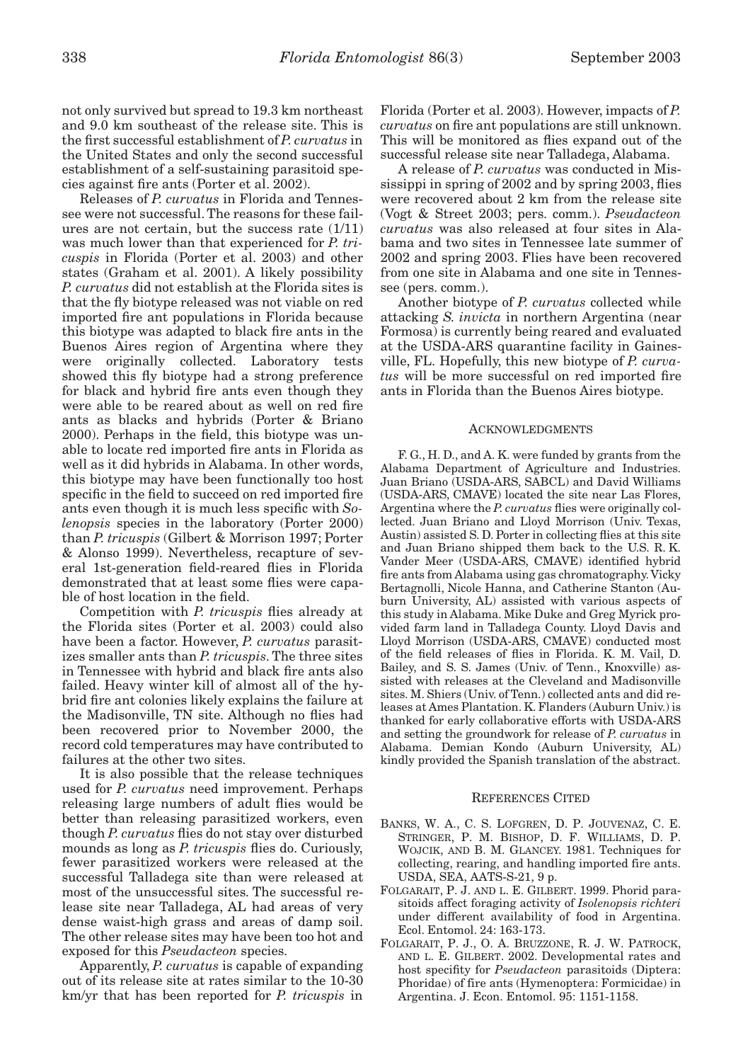not only survived but spread to 19.3 km northeast and 9.0 km southeast of the release site. This is the first successful establishment of *P. curvatus* in the United States and only the second successful establishment of a self-sustaining parasitoid species against fire ants (Porter et al. 2002).

Releases of *P. curvatus* in Florida and Tennessee were not successful. The reasons for these failures are not certain, but the success rate  $(1/11)$ was much lower than that experienced for *P. tricuspis* in Florida (Porter et al. 2003) and other states (Graham et al. 2001). A likely possibility *P. curvatus* did not establish at the Florida sites is that the fly biotype released was not viable on red imported fire ant populations in Florida because this biotype was adapted to black fire ants in the Buenos Aires region of Argentina where they were originally collected. Laboratory tests showed this fly biotype had a strong preference for black and hybrid fire ants even though they were able to be reared about as well on red fire ants as blacks and hybrids (Porter & Briano 2000). Perhaps in the field, this biotype was unable to locate red imported fire ants in Florida as well as it did hybrids in Alabama. In other words, this biotype may have been functionally too host specific in the field to succeed on red imported fire ants even though it is much less specific with *Solenopsis* species in the laboratory (Porter 2000) than *P. tricuspis* (Gilbert & Morrison 1997; Porter & Alonso 1999). Nevertheless, recapture of several 1st-generation field-reared flies in Florida demonstrated that at least some flies were capable of host location in the field.

Competition with *P. tricuspis* flies already at the Florida sites (Porter et al. 2003) could also have been a factor. However, *P. curvatus* parasitizes smaller ants than *P. tricuspis*. The three sites in Tennessee with hybrid and black fire ants also failed. Heavy winter kill of almost all of the hybrid fire ant colonies likely explains the failure at the Madisonville, TN site. Although no flies had been recovered prior to November 2000, the record cold temperatures may have contributed to failures at the other two sites.

It is also possible that the release techniques used for *P. curvatus* need improvement. Perhaps releasing large numbers of adult flies would be better than releasing parasitized workers, even though *P. curvatus* flies do not stay over disturbed mounds as long as *P. tricuspis* flies do. Curiously, fewer parasitized workers were released at the successful Talladega site than were released at most of the unsuccessful sites. The successful release site near Talladega, AL had areas of very dense waist-high grass and areas of damp soil. The other release sites may have been too hot and exposed for this *Pseudacteon* species.

Apparently, *P. curvatus* is capable of expanding out of its release site at rates similar to the 10-30 km/yr that has been reported for *P. tricuspis* in Florida (Porter et al. 2003). However, impacts of *P. curvatus* on fire ant populations are still unknown. This will be monitored as flies expand out of the successful release site near Talladega, Alabama.

A release of *P. curvatus* was conducted in Mississippi in spring of 2002 and by spring 2003, flies were recovered about 2 km from the release site (Vogt & Street 2003; pers. comm.). *Pseudacteon curvatus* was also released at four sites in Alabama and two sites in Tennessee late summer of 2002 and spring 2003. Flies have been recovered from one site in Alabama and one site in Tennessee (pers. comm.).

Another biotype of *P. curvatus* collected while attacking *S. invicta* in northern Argentina (near Formosa) is currently being reared and evaluated at the USDA-ARS quarantine facility in Gainesville, FL. Hopefully, this new biotype of *P. curvatus* will be more successful on red imported fire ants in Florida than the Buenos Aires biotype.

## ACKNOWLEDGMENTS

F. G., H. D., and A. K. were funded by grants from the Alabama Department of Agriculture and Industries. Juan Briano (USDA-ARS, SABCL) and David Williams (USDA-ARS, CMAVE) located the site near Las Flores, Argentina where the *P. curvatus* flies were originally collected. Juan Briano and Lloyd Morrison (Univ. Texas, Austin) assisted S. D. Porter in collecting flies at this site and Juan Briano shipped them back to the U.S. R. K. Vander Meer (USDA-ARS, CMAVE) identified hybrid fire ants from Alabama using gas chromatography. Vicky Bertagnolli, Nicole Hanna, and Catherine Stanton (Auburn University, AL) assisted with various aspects of this study in Alabama. Mike Duke and Greg Myrick provided farm land in Talladega County. Lloyd Davis and Lloyd Morrison (USDA-ARS, CMAVE) conducted most of the field releases of flies in Florida. K. M. Vail, D. Bailey, and S. S. James (Univ. of Tenn., Knoxville) assisted with releases at the Cleveland and Madisonville sites. M. Shiers (Univ. of Tenn.) collected ants and did releases at Ames Plantation. K. Flanders (Auburn Univ.) is thanked for early collaborative efforts with USDA-ARS and setting the groundwork for release of *P. curvatus* in Alabama. Demian Kondo (Auburn University, AL) kindly provided the Spanish translation of the abstract.

#### REFERENCES CITED

- BANKS, W. A., C. S. LOFGREN, D. P. JOUVENAZ, C. E. STRINGER, P. M. BISHOP, D. F. WILLIAMS, D. P. WOJCIK, AND B. M. GLANCEY. 1981. Techniques for collecting, rearing, and handling imported fire ants. USDA, SEA, AATS-S-21, 9 p.
- FOLGARAIT, P. J. AND L. E. GILBERT. 1999. Phorid parasitoids affect foraging activity of *Isolenopsis richteri* under different availability of food in Argentina. Ecol. Entomol. 24: 163-173.
- FOLGARAIT, P. J., O. A. BRUZZONE, R. J. W. PATROCK, AND L. E. GILBERT. 2002. Developmental rates and host specifity for *Pseudacteon* parasitoids (Diptera: Phoridae) of fire ants (Hymenoptera: Formicidae) in Argentina. J. Econ. Entomol. 95: 1151-1158.